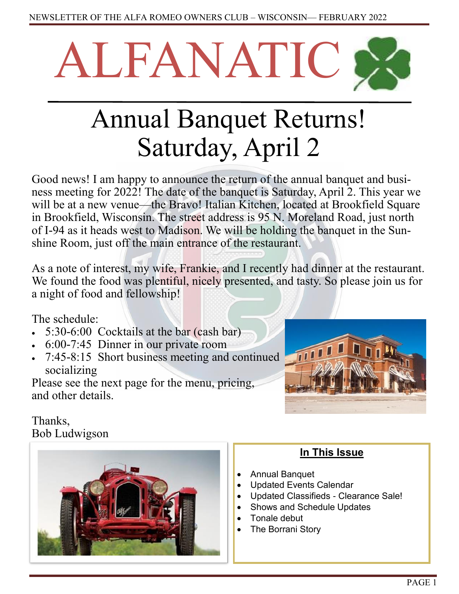

# Annual Banquet Returns! Saturday, April 2

Good news! I am happy to announce the return of the annual banquet and business meeting for 2022! The date of the banquet is Saturday, April 2. This year we will be at a new venue—the Bravo! Italian Kitchen, located at Brookfield Square in Brookfield, Wisconsin. The street address is 95 N. Moreland Road, just north of I-94 as it heads west to Madison. We will be holding the banquet in the Sunshine Room, just off the main entrance of the restaurant.

As a note of interest, my wife, Frankie, and I recently had dinner at the restaurant. We found the food was plentiful, nicely presented, and tasty. So please join us for a night of food and fellowship!

The schedule:

- 5:30-6:00 Cocktails at the bar (cash bar)
- 6:00-7:45 Dinner in our private room
- 7:45-8:15 Short business meeting and continued socializing

Please see the next page for the menu, pricing, and other details.



# Thanks, Bob Ludwigson



# **In This Issue**

- Annual Banquet
- Updated Events Calendar
- Updated Classifieds Clearance Sale!
- Shows and Schedule Updates
- Tonale debut
- The Borrani Story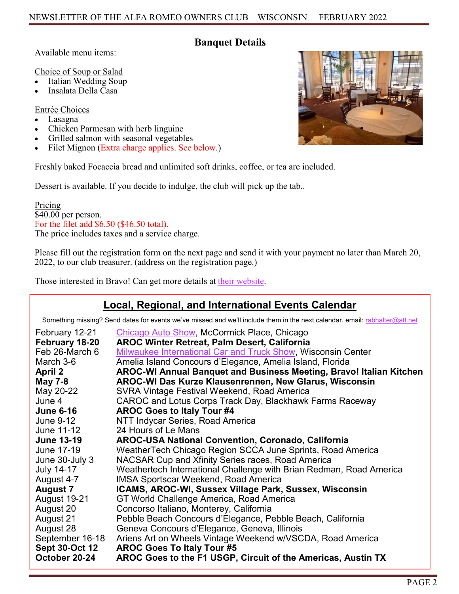## **Banquet Details**

Available menu items:

Choice of Soup or Salad

- Italian Wedding Soup
- Insalata Della Casa

Entrée Choices

- Lasagna
- Chicken Parmesan with herb linguine
- Grilled salmon with seasonal vegetables
- Filet Mignon (Extra charge applies. See below.)

Freshly baked Focaccia bread and unlimited soft drinks, coffee, or tea are included.

Dessert is available. If you decide to indulge, the club will pick up the tab..

Pricing \$40.00 per person. For the filet add \$6.50 (\$46.50 total). The price includes taxes and a service charge.

Please fill out the registration form on the next page and send it with your payment no later than March 20, 2022, to our club treasurer. (address on the registration page.)

Those interested in Bravo! Can get more details at [their website.](https://locations.bravoitalian.com/us/wi/brookfield/95-n-moorland-rd)

# **Local, Regional, and International Events Calendar**

Something missing? Send dates for events we've missed and we'll include them in the next calendar. email: [rabhalter@att.net](mailto:rabhalter@att.net?subject=New%20Events%20for%20Calendar)

| February 12-21        | Chicago Auto Show, McCormick Place, Chicago                         |
|-----------------------|---------------------------------------------------------------------|
| February 18-20        | <b>AROC Winter Retreat, Palm Desert, California</b>                 |
| Feb 26-March 6        | <b>Milwaukee International Car and Truck Show, Wisconsin Center</b> |
| March 3-6             | Amelia Island Concours d'Elegance, Amelia Island, Florida           |
| <b>April 2</b>        | AROC-WI Annual Banquet and Business Meeting, Bravo! Italian Kitchen |
| <b>May 7-8</b>        | AROC-WI Das Kurze Klausenrennen, New Glarus, Wisconsin              |
| May 20-22             | SVRA Vintage Festival Weekend, Road America                         |
| June 4                | CAROC and Lotus Corps Track Day, Blackhawk Farms Raceway            |
| <b>June 6-16</b>      | <b>AROC Goes to Italy Tour #4</b>                                   |
| June 9-12             | NTT Indycar Series, Road America                                    |
| June 11-12            | 24 Hours of Le Mans                                                 |
| <b>June 13-19</b>     | <b>AROC-USA National Convention, Coronado, California</b>           |
| June 17-19            | WeatherTech Chicago Region SCCA June Sprints, Road America          |
| June 30-July 3        | NACSAR Cup and Xfinity Series races, Road America                   |
| <b>July 14-17</b>     | Weathertech International Challenge with Brian Redman, Road America |
| August 4-7            | <b>IMSA Sportscar Weekend, Road America</b>                         |
| <b>August 7</b>       | ICAMS, AROC-WI, Sussex Village Park, Sussex, Wisconsin              |
| August 19-21          | GT World Challenge America, Road America                            |
| August 20             | Concorso Italiano, Monterey, California                             |
| August 21             | Pebble Beach Concours d'Elegance, Pebble Beach, California          |
| August 28             | Geneva Concours d'Elegance, Geneva, Illinois                        |
| September 16-18       | Ariens Art on Wheels Vintage Weekend w/VSCDA, Road America          |
| <b>Sept 30-Oct 12</b> | <b>AROC Goes To Italy Tour #5</b>                                   |
| October 20-24         | AROC Goes to the F1 USGP, Circuit of the Americas, Austin TX        |

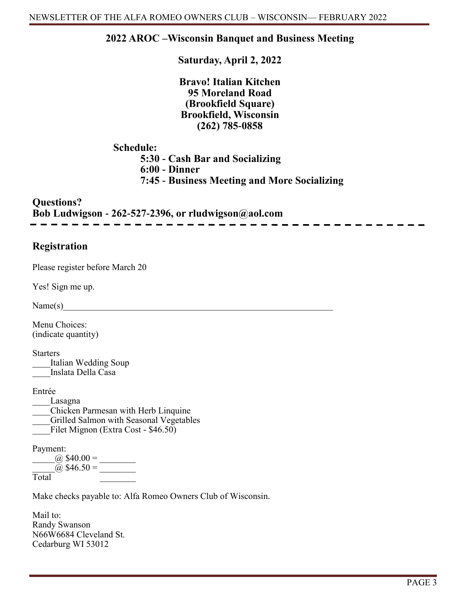## **2022 AROC –Wisconsin Banquet and Business Meeting**

**Saturday, April 2, 2022**

**Bravo! Italian Kitchen 95 Moreland Road (Brookfield Square) Brookfield, Wisconsin (262) 785-0858** 

**Schedule:**

**5:30 - Cash Bar and Socializing 6:00 - Dinner**

**7:45 - Business Meeting and More Socializing**

**Questions? Bob Ludwigson - 262-527-2396, or rludwigson@aol.com**

# **Registration**

Please register before March 20

Yes! Sign me up.

 $Name(s)$ 

Menu Choices: (indicate quantity)

**Starters** Italian Wedding Soup Inslata Della Casa

Entrée

\_\_\_\_Lasagna \_\_\_\_Chicken Parmesan with Herb Linquine

Grilled Salmon with Seasonal Vegetables

 $\overline{\phantom{a}}$ Filet Mignon (Extra Cost - \$46.50)

Payment:

 $\omega$  \$40.00 =  $\omega$  \$46.50 = Total \_\_\_\_\_\_\_\_

Make checks payable to: Alfa Romeo Owners Club of Wisconsin.

Mail to: Randy Swanson N66W6684 Cleveland St. Cedarburg WI 53012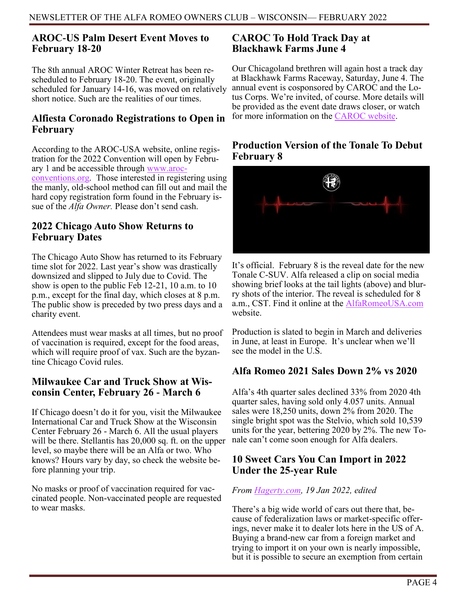# **AROC-US Palm Desert Event Moves to February 18-20**

The 8th annual AROC Winter Retreat has been rescheduled to February 18-20. The event, originally scheduled for January 14-16, was moved on relatively short notice. Such are the realities of our times.

## **Alfiesta Coronado Registrations to Open in February**

According to the AROC-USA website, online registration for the 2022 Convention will open by February 1 and be accessible through [www.aroc](https:/www.aroc-conventions.org)[conventions.org.](https:/www.aroc-conventions.org) Those interested in registering using the manly, old-school method can fill out and mail the hard copy registration form found in the February issue of the *Alfa Owner.* Please don't send cash.

# **2022 Chicago Auto Show Returns to February Dates**

The Chicago Auto Show has returned to its February time slot for 2022. Last year's show was drastically downsized and slipped to July due to Covid. The show is open to the public Feb 12-21, 10 a.m. to 10 p.m., except for the final day, which closes at 8 p.m. The public show is preceded by two press days and a charity event.

Attendees must wear masks at all times, but no proof of vaccination is required, except for the food areas, which will require proof of vax. Such are the byzantine Chicago Covid rules.

# **Milwaukee Car and Truck Show at Wisconsin Center, February 26 - March 6**

If Chicago doesn't do it for you, visit the Milwaukee International Car and Truck Show at the Wisconsin Center February 26 - March 6. All the usual players will be there. Stellantis has 20,000 sq. ft. on the upper level, so maybe there will be an Alfa or two. Who knows? Hours vary by day, so check the website before planning your trip.

No masks or proof of vaccination required for vaccinated people. Non-vaccinated people are requested to wear masks.

# **CAROC To Hold Track Day at Blackhawk Farms June 4**

Our Chicagoland brethren will again host a track day at Blackhawk Farms Raceway, Saturday, June 4. The annual event is cosponsored by CAROC and the Lotus Corps. We're invited, of course. More details will be provided as the event date draws closer, or watch for more information on the [CAROC website.](https://caroc.com/index.php) 

## **Production Version of the Tonale To Debut February 8**



It's official. February 8 is the reveal date for the new Tonale C-SUV. Alfa released a clip on social media showing brief looks at the tail lights (above) and blurry shots of the interior. The reveal is scheduled for 8 a.m., CST. Find it online at the **AlfaRomeoUSA.com** website.

Production is slated to begin in March and deliveries in June, at least in Europe. It's unclear when we'll see the model in the  $\overline{U.S.}$ 

# **Alfa Romeo 2021 Sales Down 2% vs 2020**

Alfa's 4th quarter sales declined 33% from 2020 4th quarter sales, having sold only 4.057 units. Annual sales were 18,250 units, down 2% from 2020. The single bright spot was the Stelvio, which sold 10,539 units for the year, bettering 2020 by 2%. The new Tonale can't come soon enough for Alfa dealers.

# **10 Sweet Cars You Can Import in 2022 Under the 25-year Rule**

#### *From [Hagerty.com,](https://www.hagerty.com/media/buying-and-selling/10-sweet-cars-you-can-import-in-2022-under-the-25-year-rule/?utm_source=SFMC&utm_medium=email&utm_content=MED_UN_NA_EML_UN_SaturdayRoadTrip_NoDynamicNoDOTW&hashed_email=c20f9350ec2c1718f0a5719cebc23978ae049b) 19 Jan 2022, edited*

There's a big wide world of cars out there that, because of federalization laws or market-specific offerings, never make it to dealer lots here in the US of A. Buying a brand-new car from a foreign market and trying to import it on your own is nearly impossible, but it is possible to secure an exemption from certain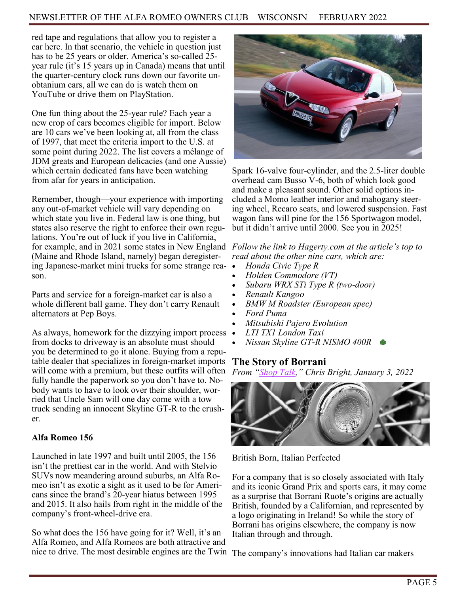#### NEWSLETTER OF THE ALFA ROMEO OWNERS CLUB – WISCONSIN— FEBRUARY 2022

red tape and regulations that allow you to register a car here. In that scenario, the vehicle in question just has to be 25 years or older. America's so-called 25 year rule (it's 15 years up in Canada) means that until the quarter-century clock runs down our favorite unobtanium cars, all we can do is watch them on YouTube or drive them on PlayStation.

One fun thing about the 25-year rule? Each year a new crop of cars becomes eligible for import. Below are 10 cars we've been looking at, all from the class of 1997, that meet the criteria import to the U.S. at some point during 2022. The list covers a mélange of JDM greats and European delicacies (and one Aussie) which certain dedicated fans have been watching from afar for years in anticipation.

Remember, though—your experience with importing any out-of-market vehicle will vary depending on which state you live in. Federal law is one thing, but states also reserve the right to enforce their own regulations. You're out of luck if you live in California, for example, and in 2021 some states in New England *Follow the link to Hagerty.com at the article's top to*  (Maine and Rhode Island, namely) began deregistering Japanese-market mini trucks for some strange reason.

Parts and service for a foreign-market car is also a whole different ball game. They don't carry Renault alternators at Pep Boys.

As always, homework for the dizzying import process from docks to driveway is an absolute must should you be determined to go it alone. Buying from a reputable dealer that specializes in foreign-market imports will come with a premium, but these outfits will often fully handle the paperwork so you don't have to. Nobody wants to have to look over their shoulder, worried that Uncle Sam will one day come with a tow truck sending an innocent Skyline GT-R to the crusher.

#### **Alfa Romeo 156**

Launched in late 1997 and built until 2005, the 156 isn't the prettiest car in the world. And with Stelvio SUVs now meandering around suburbs, an Alfa Romeo isn't as exotic a sight as it used to be for Americans since the brand's 20-year hiatus between 1995 and 2015. It also hails from right in the middle of the company's front-wheel-drive era.

So what does the 156 have going for it? Well, it's an Alfa Romeo, and Alfa Romeos are both attractive and nice to drive. The most desirable engines are the Twin



Spark 16-valve four-cylinder, and the 2.5-liter double overhead cam Busso V-6, both of which look good and make a pleasant sound. Other solid options included a Momo leather interior and mahogany steering wheel, Recaro seats, and lowered suspension. Fast wagon fans will pine for the 156 Sportwagon model, but it didn't arrive until 2000. See you in 2025!

*read about the other nine cars, which are:*

- *Honda Civic Type R*
- *Holden Commodore (VT)*
- *Subaru WRX STi Type R (two-door)*
- *Renault Kangoo*
- *BMW M Roadster (European spec)*
- *Ford Puma*
- *Mitsubishi Pajero Evolution*
- *LTI TX1 London Taxi*
- *Nissan Skyline GT-R NISMO 400R*

#### **The Story of Borrani**

*From "[Shop Talk,](https://home.collectorpartexchange.com/articles/borrani-wheels-born-in-britain-perfected-in-italy?utm_source=cpx&utm_medium=email&utm_campaign=shop-talk-2022-01-03)" Chris Bright, January 3, 2022*



British Born, Italian Perfected

For a company that is so closely associated with Italy and its iconic Grand Prix and sports cars, it may come as a surprise that Borrani Ruote's origins are actually British, founded by a Californian, and represented by a logo originating in Ireland! So while the story of Borrani has origins elsewhere, the company is now Italian through and through.

The company's innovations had Italian car makers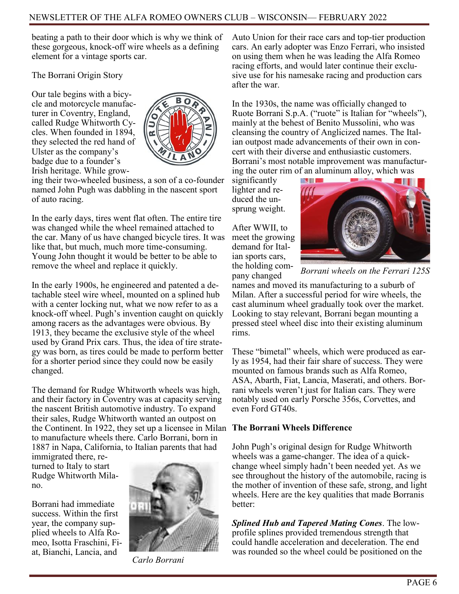beating a path to their door which is why we think of these gorgeous, knock-off wire wheels as a defining element for a vintage sports car.

The Borrani Origin Story

Our tale begins with a bicycle and motorcycle manufacturer in Coventry, England, called Rudge Whitworth Cycles. When founded in 1894, they selected the red hand of Ulster as the company's badge due to a founder's Irish heritage. While grow-



ing their two-wheeled business, a son of a co-founder named John Pugh was dabbling in the nascent sport of auto racing.

In the early days, tires went flat often. The entire tire was changed while the wheel remained attached to the car. Many of us have changed bicycle tires. It was like that, but much, much more time-consuming. Young John thought it would be better to be able to remove the wheel and replace it quickly.

In the early 1900s, he engineered and patented a detachable steel wire wheel, mounted on a splined hub with a center locking nut, what we now refer to as a knock-off wheel. Pugh's invention caught on quickly among racers as the advantages were obvious. By 1913, they became the exclusive style of the wheel used by Grand Prix cars. Thus, the idea of tire strategy was born, as tires could be made to perform better for a shorter period since they could now be easily changed.

The demand for Rudge Whitworth wheels was high, and their factory in Coventry was at capacity serving the nascent British automotive industry. To expand their sales, Rudge Whitworth wanted an outpost on the Continent. In 1922, they set up a licensee in Milan to manufacture wheels there. Carlo Borrani, born in 1887 in Napa, California, to Italian parents that had

immigrated there, returned to Italy to start Rudge Whitworth Milano.

Borrani had immediate success. Within the first year, the company supplied wheels to Alfa Romeo, Isotta Fraschini, Fiat, Bianchi, Lancia, and



*Carlo Borrani*

Auto Union for their race cars and top-tier production cars. An early adopter was Enzo Ferrari, who insisted on using them when he was leading the Alfa Romeo racing efforts, and would later continue their exclusive use for his namesake racing and production cars after the war.

In the 1930s, the name was officially changed to Ruote Borrani S.p.A. ("ruote" is Italian for "wheels"), mainly at the behest of Benito Mussolini, who was cleansing the country of Anglicized names. The Italian outpost made advancements of their own in concert with their diverse and enthusiastic customers. Borrani's most notable improvement was manufacturing the outer rim of an aluminum alloy, which was

significantly lighter and reduced the unsprung weight.

After WWII, to meet the growing demand for Italian sports cars, the holding company changed



*Borrani wheels on the Ferrari 125S*

names and moved its manufacturing to a suburb of Milan. After a successful period for wire wheels, the cast aluminum wheel gradually took over the market. Looking to stay relevant, Borrani began mounting a pressed steel wheel disc into their existing aluminum rims.

These "bimetal" wheels, which were produced as early as 1954, had their fair share of success. They were mounted on famous brands such as Alfa Romeo, ASA, Abarth, Fiat, Lancia, Maserati, and others. Borrani wheels weren't just for Italian cars. They were notably used on early Porsche 356s, Corvettes, and even Ford GT40s.

#### **The Borrani Wheels Difference**

John Pugh's original design for Rudge Whitworth wheels was a game-changer. The idea of a quickchange wheel simply hadn't been needed yet. As we see throughout the history of the automobile, racing is the mother of invention of these safe, strong, and light wheels. Here are the key qualities that made Borranis better:

*Splined Hub and Tapered Mating Cones*. The lowprofile splines provided tremendous strength that could handle acceleration and deceleration. The end was rounded so the wheel could be positioned on the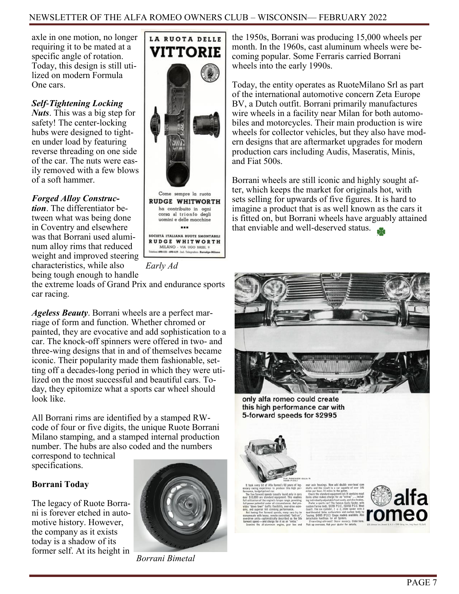axle in one motion, no longer requiring it to be mated at a specific angle of rotation. Today, this design is still utilized on modern Formula One cars.

#### *Self-Tightening Locking*

*Nuts*. This was a big step for safety! The center-locking hubs were designed to tighten under load by featuring reverse threading on one side of the car. The nuts were easily removed with a few blows of a soft hammer.

#### *Forged Alloy Construc-*

*tion*. The differentiator between what was being done in Coventry and elsewhere was that Borrani used aluminum alloy rims that reduced weight and improved steering characteristics, while also being tough enough to handle



Come sempre la ruota **RUDGE WHITWORTH** ha contribuito in ogni<br>corsa al trionfo degli uomini e delle macchine  $\cdots$ SOCIETÀ ITALIANA RUOTE SMONTABILI **RUDGE WHITWORTH** MILANO - VIA UGO BASSI, 9<br>699-121 - 699-119 - Ind. Telegratico Rurudg

*Early Ad*

the extreme loads of Grand Prix and endurance sports car racing.

*Ageless Beauty*. Borrani wheels are a perfect marriage of form and function. Whether chromed or painted, they are evocative and add sophistication to a car. The knock-off spinners were offered in two- and three-wing designs that in and of themselves became iconic. Their popularity made them fashionable, setting off a decades-long period in which they were utilized on the most successful and beautiful cars. Today, they epitomize what a sports car wheel should look like.

All Borrani rims are identified by a stamped RWcode of four or five digits, the unique Ruote Borrani Milano stamping, and a stamped internal production number. The hubs are also coded and the numbers correspond to technical

specifications.

#### **Borrani Today**

The legacy of Ruote Borrani is forever etched in automotive history. However, the company as it exists today is a shadow of its former self. At its height in



*Borrani Bimetal*

the 1950s, Borrani was producing 15,000 wheels per month. In the 1960s, cast aluminum wheels were becoming popular. Some Ferraris carried Borrani wheels into the early 1990s.

Today, the entity operates as RuoteMilano Srl as part of the international automotive concern Zeta Europe BV, a Dutch outfit. Borrani primarily manufactures wire wheels in a facility near Milan for both automobiles and motorcycles. Their main production is wire wheels for collector vehicles, but they also have modern designs that are aftermarket upgrades for modern production cars including Audis, Maseratis, Minis, and Fiat 500s.

Borrani wheels are still iconic and highly sought after, which keeps the market for originals hot, with sets selling for upwards of five figures. It is hard to imagine a product that is as well known as the cars it is fitted on, but Borrani wheels have arguably attained that enviable and well-deserved status.



only alfa romeo could create this high performance car with 5-forward speeds for \$2995



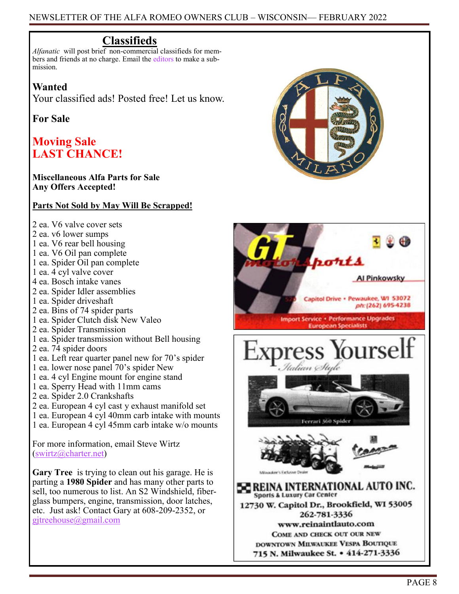# **Classifieds**

*Alfanatic* will post brief non-commercial classifieds for members and friends at no charge. Email the [editors](mailto:rabhalter@att.net) to make a submission.

## **Wanted**

Your classified ads! Posted free! Let us know.

# **For Sale**

# **Moving Sale LAST CHANCE!**

#### **Miscellaneous Alfa Parts for Sale Any Offers Accepted!**

#### **Parts Not Sold by May Will Be Scrapped!**

- 2 ea. V6 valve cover sets
- 2 ea. v6 lower sumps
- 1 ea. V6 rear bell housing
- 1 ea. V6 Oil pan complete
- 1 ea. Spider Oil pan complete
- 1 ea. 4 cyl valve cover
- 4 ea. Bosch intake vanes
- 2 ea. Spider Idler assemblies
- 1 ea. Spider driveshaft
- 2 ea. Bins of 74 spider parts
- 1 ea. Spider Clutch disk New Valeo
- 2 ea. Spider Transmission
- 1 ea. Spider transmission without Bell housing
- 2 ea. 74 spider doors
- 1 ea. Left rear quarter panel new for 70's spider
- 1 ea. lower nose panel 70's spider New
- 1 ea. 4 cyl Engine mount for engine stand
- 1 ea. Sperry Head with 11mm cams
- 2 ea. Spider 2.0 Crankshafts
- 2 ea. European 4 cyl cast y exhaust manifold set
- 1 ea. European 4 cyl 40mm carb intake with mounts
- 1 ea. European 4 cyl 45mm carb intake w/o mounts

For more information, email Steve Wirtz [\(swirtz@charter.net\)](mailto:swirtz@charter.net?subject=Alfa%20Parts)

**Gary Tree** is trying to clean out his garage. He is parting a **1980 Spider** and has many other parts to sell, too numerous to list. An S2 Windshield, fiberglass bumpers, engine, transmission, door latches, etc. Just ask! Contact Gary at 608-209-2352, or [gjtreehouse@gmail.com](mailto:gjtreehouse@gmail.com)